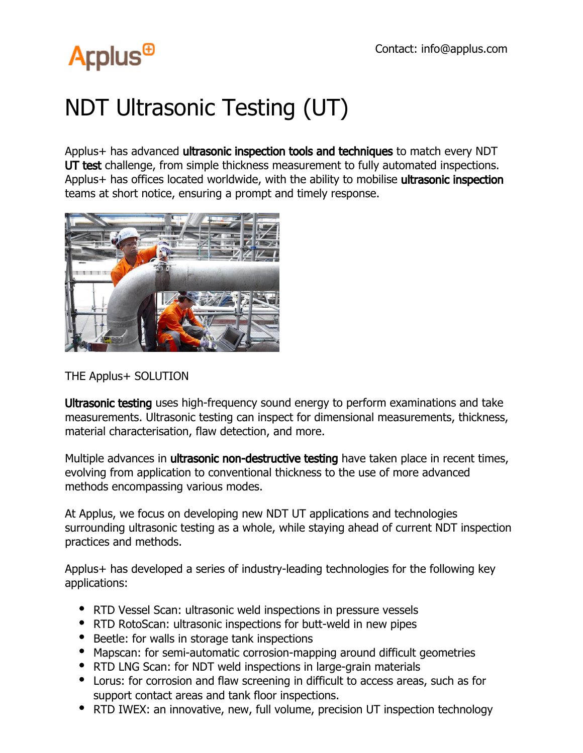# **Arplus<sup>®</sup>**

## NDT Ultrasonic Testing (UT)

Applus+ has advanced ultrasonic inspection tools and techniques to match every NDT UT test challenge, from simple thickness measurement to fully automated inspections. Applus+ has offices located worldwide, with the ability to mobilise ultrasonic inspection teams at short notice, ensuring a prompt and timely response.



#### THE Applus+ SOLUTION

Ultrasonic testing uses high-frequency sound energy to perform examinations and take measurements. Ultrasonic testing can inspect for dimensional measurements, thickness, material characterisation, flaw detection, and more.

Multiple advances in **ultrasonic non-destructive testing** have taken place in recent times, evolving from application to conventional thickness to the use of more advanced methods encompassing various modes.

At Applus, we focus on developing new NDT UT applications and technologies surrounding ultrasonic testing as a whole, while staying ahead of current NDT inspection practices and methods.

Applus+ has developed a series of industry-leading technologies for the following key applications:

- RTD Vessel Scan: ultrasonic weld inspections in pressure vessels
- RTD RotoScan: ultrasonic inspections for butt-weld in new pipes
- Beetle: for walls in storage tank inspections
- Mapscan: for semi-automatic corrosion-mapping around difficult geometries
- RTD LNG Scan: for NDT weld inspections in large-grain materials
- Lorus: for corrosion and flaw screening in difficult to access areas, such as for support contact areas and tank floor inspections.
- RTD IWEX: an innovative, new, full volume, precision UT inspection technology